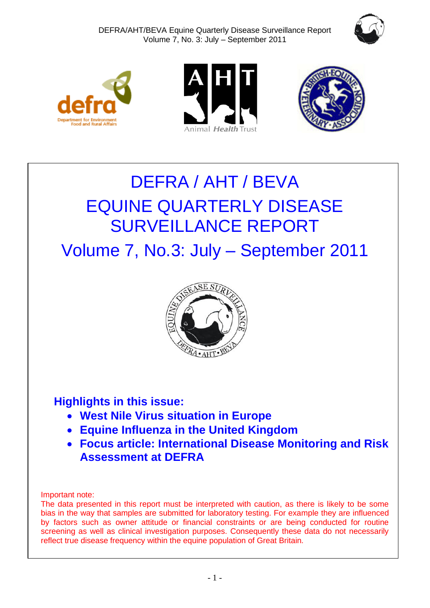







# DEFRA / AHT / BEVA EQUINE QUARTERLY DISEASE SURVEILLANCE REPORT

Volume 7, No.3: July – September 2011



# **Highlights in this issue:**

- **West Nile Virus situation in Europe**
- **Equine Influenza in the United Kingdom**
- **Focus article: International Disease Monitoring and Risk Assessment at DEFRA**

Important note:

The data presented in this report must be interpreted with caution, as there is likely to be some bias in the way that samples are submitted for laboratory testing. For example they are influenced by factors such as owner attitude or financial constraints or are being conducted for routine screening as well as clinical investigation purposes. Consequently these data do not necessarily reflect true disease frequency within the equine population of Great Britain.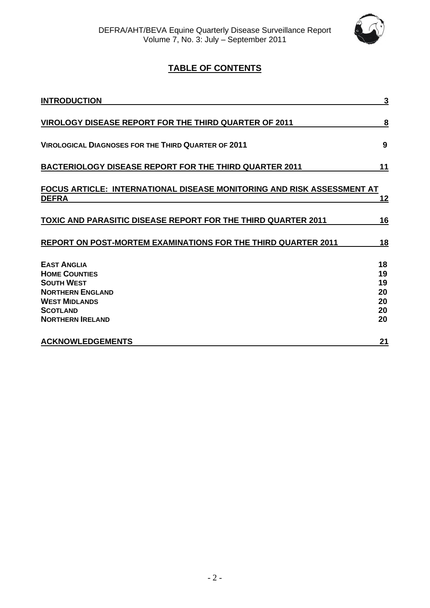

### **TABLE OF CONTENTS**

| <b>INTRODUCTION</b>                                                                        | 3                    |
|--------------------------------------------------------------------------------------------|----------------------|
| <b>VIROLOGY DISEASE REPORT FOR THE THIRD QUARTER OF 2011</b>                               | 8                    |
| <b>VIROLOGICAL DIAGNOSES FOR THE THIRD QUARTER OF 2011</b>                                 | 9                    |
| <b>BACTERIOLOGY DISEASE REPORT FOR THE THIRD QUARTER 2011</b>                              | 11                   |
| FOCUS ARTICLE: INTERNATIONAL DISEASE MONITORING AND RISK ASSESSMENT AT<br><b>DEFRA</b>     | <u> 12</u>           |
| <b>TOXIC AND PARASITIC DISEASE REPORT FOR THE THIRD QUARTER 2011</b>                       | 16                   |
| REPORT ON POST-MORTEM EXAMINATIONS FOR THE THIRD QUARTER 2011                              | 18                   |
| <b>EAST ANGLIA</b><br><b>HOME COUNTIES</b><br><b>SOUTH WEST</b><br><b>NORTHERN ENGLAND</b> | 18<br>19<br>19<br>20 |
| <b>WEST MIDLANDS</b><br><b>SCOTLAND</b><br><b>NORTHERN IRELAND</b>                         | 20<br>20<br>20       |
| <b>ACKNOWLEDGEMENTS</b>                                                                    | 21                   |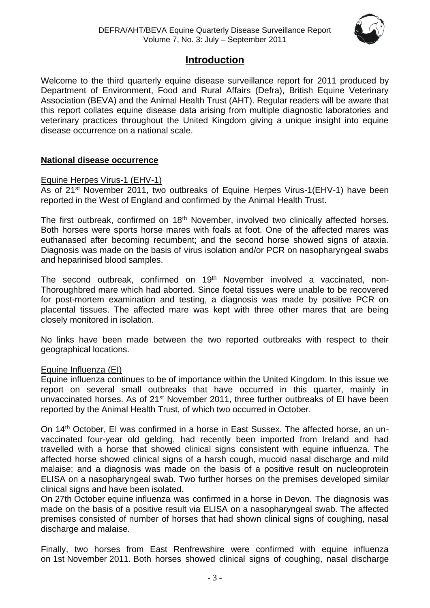

### **Introduction**

Welcome to the third quarterly equine disease surveillance report for 2011 produced by Department of Environment, Food and Rural Affairs (Defra), British Equine Veterinary Association (BEVA) and the Animal Health Trust (AHT). Regular readers will be aware that this report collates equine disease data arising from multiple diagnostic laboratories and veterinary practices throughout the United Kingdom giving a unique insight into equine disease occurrence on a national scale.

### **National disease occurrence**

### Equine Herpes Virus-1 (EHV-1)

As of 21<sup>st</sup> November 2011, two outbreaks of Equine Herpes Virus-1(EHV-1) have been reported in the West of England and confirmed by the Animal Health Trust.

The first outbreak, confirmed on 18<sup>th</sup> November, involved two clinically affected horses. Both horses were sports horse mares with foals at foot. One of the affected mares was euthanased after becoming recumbent; and the second horse showed signs of ataxia. Diagnosis was made on the basis of virus isolation and/or PCR on nasopharyngeal swabs and heparinised blood samples.

The second outbreak, confirmed on 19<sup>th</sup> November involved a vaccinated, non-Thoroughbred mare which had aborted. Since foetal tissues were unable to be recovered for post-mortem examination and testing, a diagnosis was made by positive PCR on placental tissues. The affected mare was kept with three other mares that are being closely monitored in isolation.

No links have been made between the two reported outbreaks with respect to their geographical locations.

### Equine Influenza (EI)

Equine influenza continues to be of importance within the United Kingdom. In this issue we report on several small outbreaks that have occurred in this quarter, mainly in unvaccinated horses. As of 21<sup>st</sup> November 2011, three further outbreaks of EI have been reported by the Animal Health Trust, of which two occurred in October.

On 14th October, EI was confirmed in a horse in East Sussex. The affected horse, an unvaccinated four-year old gelding, had recently been imported from Ireland and had travelled with a horse that showed clinical signs consistent with equine influenza. The affected horse showed clinical signs of a harsh cough, mucoid nasal discharge and mild malaise; and a diagnosis was made on the basis of a positive result on nucleoprotein ELISA on a nasopharyngeal swab. Two further horses on the premises developed similar clinical signs and have been isolated.

On 27th October equine influenza was confirmed in a horse in Devon. The diagnosis was made on the basis of a positive result via ELISA on a nasopharyngeal swab. The affected premises consisted of number of horses that had shown clinical signs of coughing, nasal discharge and malaise.

Finally, two horses from East Renfrewshire were confirmed with equine influenza on 1st November 2011. Both horses showed clinical signs of coughing, nasal discharge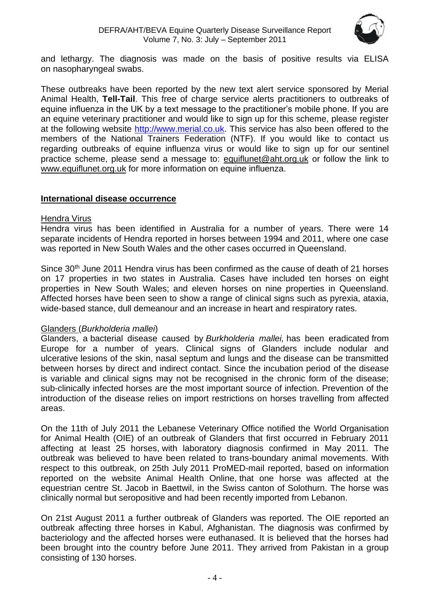

and lethargy. The diagnosis was made on the basis of positive results via ELISA on nasopharyngeal swabs.

These outbreaks have been reported by the new text alert service sponsored by Merial Animal Health, **Tell-Tail**. This free of charge service alerts practitioners to outbreaks of equine influenza in the UK by a text message to the practitioner's mobile phone. If you are an equine veterinary practitioner and would like to sign up for this scheme, please register at the following website [http://www.merial.co.uk.](http://www.merial.co.uk/) This service has also been offered to the members of the National Trainers Federation (NTF). If you would like to contact us regarding outbreaks of equine influenza virus or would like to sign up for our sentinel practice scheme, please send a message to: [equiflunet@aht.org.uk](mailto:equiflunet@aht.org.uk) or follow the link to [www.equiflunet.org.uk](http://www.equiflunet.org.uk/) for more information on equine influenza.

### **International disease occurrence**

### Hendra Virus

Hendra virus has been identified in Australia for a number of years. There were 14 separate incidents of Hendra reported in horses between 1994 and 2011, where one case was reported in New South Wales and the other cases occurred in Queensland.

Since 30<sup>th</sup> June 2011 Hendra virus has been confirmed as the cause of death of 21 horses on 17 properties in two states in Australia. Cases have included ten horses on eight properties in New South Wales; and eleven horses on nine properties in Queensland. Affected horses have been seen to show a range of clinical signs such as pyrexia, ataxia, wide-based stance, dull demeanour and an increase in heart and respiratory rates.

#### Glanders (*Burkholderia mallei*)

Glanders, a bacterial disease caused by *Burkholderia mallei,* has been eradicated from Europe for a number of years. Clinical signs of Glanders include nodular and ulcerative lesions of the skin, nasal septum and lungs and the disease can be transmitted between horses by direct and indirect contact. Since the incubation period of the disease is variable and clinical signs may not be recognised in the chronic form of the disease; sub-clinically infected horses are the most important source of infection. Prevention of the introduction of the disease relies on import restrictions on horses travelling from affected areas.

On the 11th of July 2011 the Lebanese Veterinary Office notified the World Organisation for Animal Health (OIE) of an outbreak of Glanders that first occurred in February 2011 affecting at least 25 horses, with laboratory diagnosis confirmed in May 2011. The outbreak was believed to have been related to trans-boundary animal movements. With respect to this outbreak, on 25th July 2011 ProMED-mail reported, based on information reported on the website Animal Health Online, that one horse was affected at the equestrian centre St. Jacob in Baettwil, in the Swiss canton of Solothurn. The horse was clinically normal but seropositive and had been recently imported from Lebanon.

On 21st August 2011 a further outbreak of Glanders was reported. The OIE reported an outbreak affecting three horses in Kabul, Afghanistan. The diagnosis was confirmed by bacteriology and the affected horses were euthanased. It is believed that the horses had been brought into the country before June 2011. They arrived from Pakistan in a group consisting of 130 horses.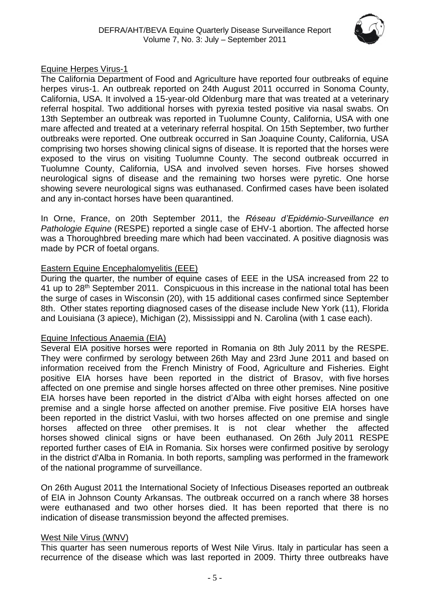

### Equine Herpes Virus-1

The California Department of Food and Agriculture have reported four outbreaks of equine herpes virus-1. An outbreak reported on 24th August 2011 occurred in Sonoma County, California, USA. It involved a 15-year-old Oldenburg mare that was treated at a veterinary referral hospital. Two additional horses with pyrexia tested positive via nasal swabs. On 13th September an outbreak was reported in Tuolumne County, California, USA with one mare affected and treated at a veterinary referral hospital. On 15th September, two further outbreaks were reported. One outbreak occurred in San Joaquine County, California, USA comprising two horses showing clinical signs of disease. It is reported that the horses were exposed to the virus on visiting Tuolumne County. The second outbreak occurred in Tuolumne County, California, USA and involved seven horses. Five horses showed neurological signs of disease and the remaining two horses were pyretic. One horse showing severe neurological signs was euthanased. Confirmed cases have been isolated and any in-contact horses have been quarantined.

In Orne, France, on 20th September 2011, the *Réseau d'Epidémio-Surveillance en Pathologie Equine* (RESPE) reported a single case of EHV-1 abortion. The affected horse was a Thoroughbred breeding mare which had been vaccinated. A positive diagnosis was made by PCR of foetal organs.

### Eastern Equine Encephalomyelitis (EEE)

During the quarter, the number of equine cases of EEE in the USA increased from 22 to 41 up to 28<sup>th</sup> September 2011. Conspicuous in this increase in the national total has been the surge of cases in Wisconsin (20), with 15 additional cases confirmed since September 8th. Other states reporting diagnosed cases of the disease include New York (11), Florida and Louisiana (3 apiece), Michigan (2), Mississippi and N. Carolina (with 1 case each).

### Equine Infectious Anaemia (EIA)

Several EIA positive horses were reported in Romania on 8th July 2011 by the RESPE. They were confirmed by serology between 26th May and 23rd June 2011 and based on information received from the French Ministry of Food, Agriculture and Fisheries. Eight positive EIA horses have been reported in the district of Brasov, with five horses affected on one premise and single horses affected on three other premises. Nine positive EIA horses have been reported in the district d'Alba with eight horses affected on one premise and a single horse affected on another premise. Five positive EIA horses have been reported in the district Vaslui, with two horses affected on one premise and single horses affected on three other premises. It is not clear whether the affected horses showed clinical signs or have been euthanased. On 26th July 2011 RESPE reported further cases of EIA in Romania. Six horses were confirmed positive by serology in the district d'Alba in Romania. In both reports, sampling was performed in the framework of the national programme of surveillance.

On 26th August 2011 the International Society of Infectious Diseases reported an outbreak of EIA in Johnson County Arkansas. The outbreak occurred on a ranch where 38 horses were euthanased and two other horses died. It has been reported that there is no indication of disease transmission beyond the affected premises.

### West Nile Virus (WNV)

This quarter has seen numerous reports of West Nile Virus. Italy in particular has seen a recurrence of the disease which was last reported in 2009. Thirty three outbreaks have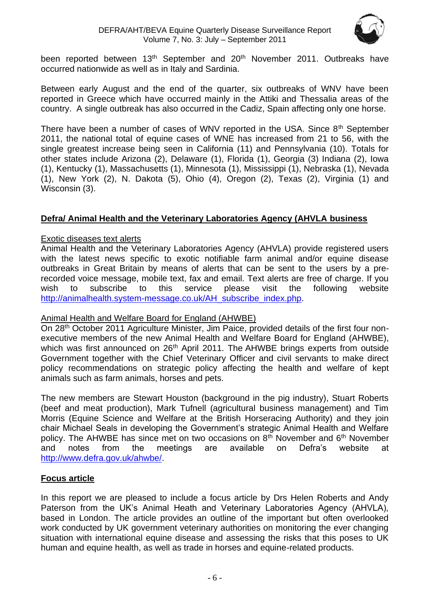

been reported between 13<sup>th</sup> September and 20<sup>th</sup> November 2011. Outbreaks have occurred nationwide as well as in Italy and Sardinia.

Between early August and the end of the quarter, six outbreaks of WNV have been reported in Greece which have occurred mainly in the Attiki and Thessalia areas of the country. A single outbreak has also occurred in the Cadiz, Spain affecting only one horse.

There have been a number of cases of WNV reported in the USA. Since 8<sup>th</sup> September 2011, the national total of equine cases of WNE has increased from 21 to 56, with the single greatest increase being seen in California (11) and Pennsylvania (10). Totals for other states include Arizona (2), Delaware (1), Florida (1), Georgia (3) Indiana (2), Iowa (1), Kentucky (1), Massachusetts (1), Minnesota (1), Mississippi (1), Nebraska (1), Nevada (1), New York (2), N. Dakota (5), Ohio (4), Oregon (2), Texas (2), Virginia (1) and Wisconsin (3).

### **Defra/ Animal Health and the Veterinary Laboratories Agency (AHVLA business**

### Exotic diseases text alerts

Animal Health and the Veterinary Laboratories Agency (AHVLA) provide registered users with the latest news specific to exotic notifiable farm animal and/or equine disease outbreaks in Great Britain by means of alerts that can be sent to the users by a prerecorded voice message, mobile text, fax and email. Text alerts are free of charge. If you wish to subscribe to this service please visit the following website [http://animalhealth.system-message.co.uk/AH\\_subscribe\\_index.php.](http://animalhealth.system-message.co.uk/AH_subscribe_index.php)

### Animal Health and Welfare Board for England (AHWBE)

On 28<sup>th</sup> October 2011 Agriculture Minister, Jim Paice, provided details of the first four nonexecutive members of the new Animal Health and Welfare Board for England (AHWBE), which was first announced on 26<sup>th</sup> April 2011. The AHWBE brings experts from outside Government together with the Chief Veterinary Officer and civil servants to make direct policy recommendations on strategic policy affecting the health and welfare of kept animals such as farm animals, horses and pets.

The new members are Stewart Houston (background in the pig industry), Stuart Roberts (beef and meat production), Mark Tufnell (agricultural business management) and Tim Morris (Equine Science and Welfare at the British Horseracing Authority) and they join chair Michael Seals in developing the Government's strategic Animal Health and Welfare policy. The AHWBE has since met on two occasions on 8<sup>th</sup> November and 6<sup>th</sup> November and notes from the meetings are available on Defra's website at [http://www.defra.gov.uk/ahwbe/.](http://www.defra.gov.uk/ahwbe/)

### **Focus article**

In this report we are pleased to include a focus article by Drs Helen Roberts and Andy Paterson from the UK's Animal Heath and Veterinary Laboratories Agency (AHVLA), based in London. The article provides an outline of the important but often overlooked work conducted by UK government veterinary authorities on monitoring the ever changing situation with international equine disease and assessing the risks that this poses to UK human and equine health, as well as trade in horses and equine-related products.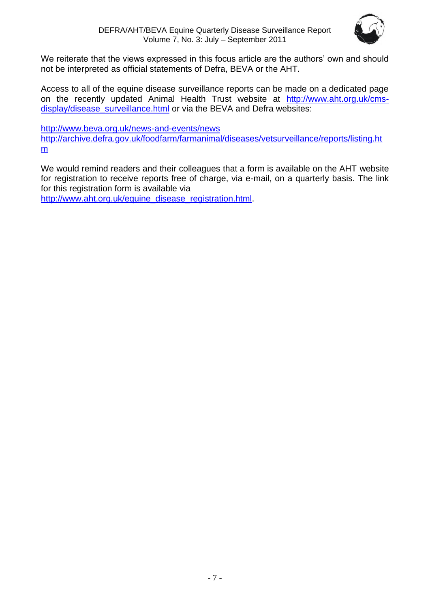

We reiterate that the views expressed in this focus article are the authors' own and should not be interpreted as official statements of Defra, BEVA or the AHT.

Access to all of the equine disease surveillance reports can be made on a dedicated page on the recently updated Animal Health Trust website at [http://www.aht.org.uk/cms](http://www.aht.org.uk/cms-display/disease_surveillance.html)[display/disease\\_surveillance.html](http://www.aht.org.uk/cms-display/disease_surveillance.html) or via the BEVA and Defra websites:

<http://www.beva.org.uk/news-and-events/news> [http://archive.defra.gov.uk/foodfarm/farmanimal/diseases/vetsurveillance/reports/listing.ht](http://archive.defra.gov.uk/foodfarm/farmanimal/diseases/vetsurveillance/reports/listing.htm) [m](http://archive.defra.gov.uk/foodfarm/farmanimal/diseases/vetsurveillance/reports/listing.htm)

We would remind readers and their colleagues that a form is available on the AHT website for registration to receive reports free of charge, via e-mail, on a quarterly basis. The link for this registration form is available via

<span id="page-6-0"></span>[http://www.aht.org.uk/equine\\_disease\\_registration.html.](http://www.aht.org.uk/equine_disease_registration.html)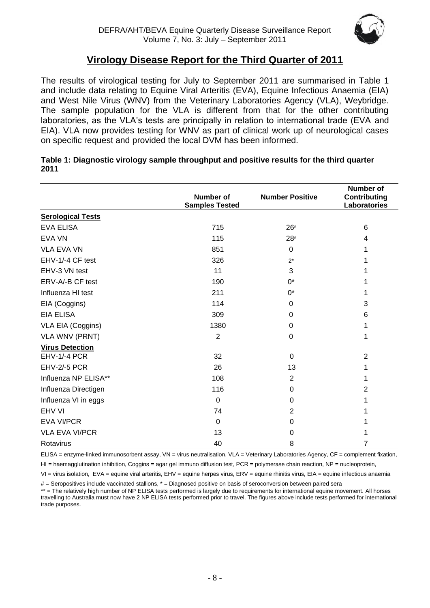

### **Virology Disease Report for the Third Quarter of 2011**

The results of virological testing for July to September 2011 are summarised in Table 1 and include data relating to Equine Viral Arteritis (EVA), Equine Infectious Anaemia (EIA) and West Nile Virus (WNV) from the Veterinary Laboratories Agency (VLA), Weybridge. The sample population for the VLA is different from that for the other contributing laboratories, as the VLA's tests are principally in relation to international trade (EVA and EIA). VLA now provides testing for WNV as part of clinical work up of neurological cases on specific request and provided the local DVM has been informed.

|                          | Number of<br><b>Samples Tested</b> | <b>Number Positive</b> | <b>Number of</b><br>Contributing<br>Laboratories |
|--------------------------|------------------------------------|------------------------|--------------------------------------------------|
| <b>Serological Tests</b> |                                    |                        |                                                  |
| EVA ELISA                | 715                                | $26*$                  | 6                                                |
| <b>EVA VN</b>            | 115                                | $28*$                  | 4                                                |
| <b>VLA EVA VN</b>        | 851                                | $\Omega$               |                                                  |
| EHV-1/-4 CF test         | 326                                | $2^*$                  |                                                  |
| EHV-3 VN test            | 11                                 | 3                      |                                                  |
| ERV-A/-B CF test         | 190                                | $0^*$                  | 1                                                |
| Influenza HI test        | 211                                | $0^*$                  | 1                                                |
| EIA (Coggins)            | 114                                | 0                      | 3                                                |
| <b>EIA ELISA</b>         | 309                                | $\Omega$               | 6                                                |
| VLA EIA (Coggins)        | 1380                               | 0                      | 1                                                |
| <b>VLA WNV (PRNT)</b>    | $\overline{2}$                     | 0                      | 1                                                |
| <b>Virus Detection</b>   |                                    |                        |                                                  |
| <b>EHV-1/-4 PCR</b>      | 32                                 | $\Omega$               | $\overline{2}$                                   |
| <b>EHV-2/-5 PCR</b>      | 26                                 | 13                     | 1                                                |
| Influenza NP ELISA**     | 108                                | $\overline{2}$         | 1                                                |
| Influenza Directigen     | 116                                | $\Omega$               | 2                                                |
| Influenza VI in eggs     | $\mathbf 0$                        | $\Omega$               |                                                  |
| EHV VI                   | 74                                 | 2                      |                                                  |
| <b>EVA VI/PCR</b>        | $\Omega$                           | $\Omega$               |                                                  |
| <b>VLA EVA VI/PCR</b>    | 13                                 | 0                      |                                                  |
| Rotavirus                | 40                                 | 8                      | 7                                                |

#### **Table 1: Diagnostic virology sample throughput and positive results for the third quarter 2011**

ELISA = enzyme-linked immunosorbent assay, VN = virus neutralisation, VLA = Veterinary Laboratories Agency, CF = complement fixation,

 $H =$  haemagglutination inhibition, Coggins = agar gel immuno diffusion test, PCR = polymerase chain reaction, NP = nucleoprotein,

VI = virus isolation, EVA = equine viral arteritis, EHV = equine herpes virus, ERV = equine rhinitis virus, EIA = equine infectious anaemia

# = Seropositives include vaccinated stallions, \* = Diagnosed positive on basis of seroconversion between paired sera

\*\* = The relatively high number of NP ELISA tests performed is largely due to requirements for international equine movement. All horses travelling to Australia must now have 2 NP ELISA tests performed prior to travel. The figures above include tests performed for international trade purposes.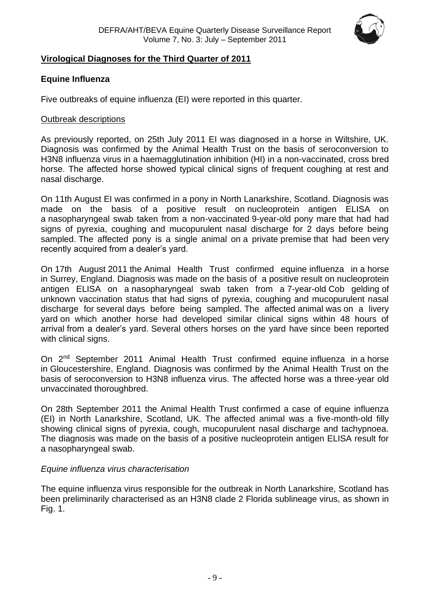

### <span id="page-8-0"></span>**Virological Diagnoses for the Third Quarter of 2011**

### **Equine Influenza**

Five outbreaks of equine influenza (EI) were reported in this quarter.

### Outbreak descriptions

As previously reported, on 25th July 2011 EI was diagnosed in a horse in Wiltshire, UK. Diagnosis was confirmed by the Animal Health Trust on the basis of seroconversion to H3N8 influenza virus in a haemagglutination inhibition (HI) in a non-vaccinated, cross bred horse. The affected horse showed typical clinical signs of frequent coughing at rest and nasal discharge.

On 11th August EI was confirmed in a pony in North Lanarkshire, Scotland. Diagnosis was made on the basis of a positive result on nucleoprotein antigen ELISA on a nasopharyngeal swab taken from a non-vaccinated 9-year-old pony mare that had had signs of pyrexia, coughing and mucopurulent nasal discharge for 2 days before being sampled. The affected pony is a single animal on a private premise that had been very recently acquired from a dealer's yard.

On 17th August 2011 the Animal Health Trust confirmed equine influenza in a horse in Surrey, England. Diagnosis was made on the basis of a positive result on nucleoprotein antigen ELISA on a nasopharyngeal swab taken from a 7-year-old Cob gelding of unknown vaccination status that had signs of pyrexia, coughing and mucopurulent nasal discharge for several days before being sampled. The affected animal was on a livery yard on which another horse had developed similar clinical signs within 48 hours of arrival from a dealer's yard. Several others horses on the yard have since been reported with clinical signs.

On 2<sup>nd</sup> September 2011 Animal Health Trust confirmed equine influenza in a horse in Gloucestershire, England. Diagnosis was confirmed by the Animal Health Trust on the basis of seroconversion to H3N8 influenza virus. The affected horse was a three-year old unvaccinated thoroughbred.

On 28th September 2011 the Animal Health Trust confirmed a case of equine influenza (EI) in North Lanarkshire, Scotland, UK. The affected animal was a five-month-old filly showing clinical signs of pyrexia, cough, mucopurulent nasal discharge and tachypnoea. The diagnosis was made on the basis of a positive nucleoprotein antigen ELISA result for a nasopharyngeal swab.

### *Equine influenza virus characterisation*

The equine influenza virus responsible for the outbreak in North Lanarkshire, Scotland has been preliminarily characterised as an H3N8 clade 2 Florida sublineage virus, as shown in Fig. 1.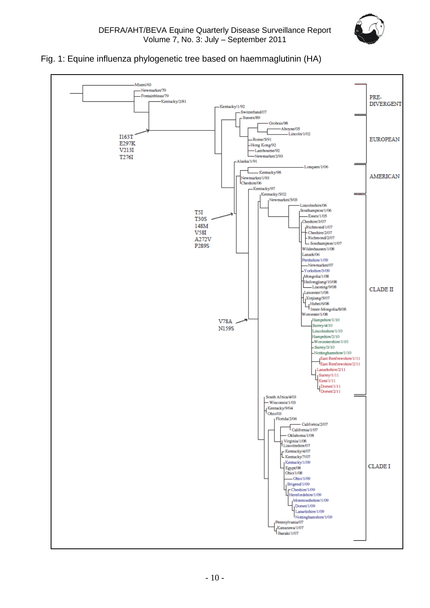

### Fig. 1: Equine influenza phylogenetic tree based on haemmaglutinin (HA)

<span id="page-9-0"></span>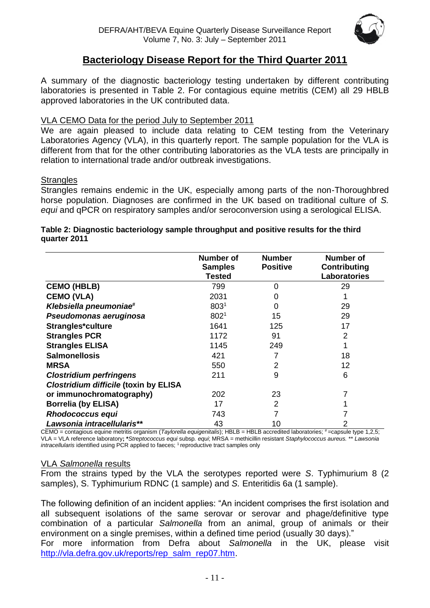

### **Bacteriology Disease Report for the Third Quarter 2011**

A summary of the diagnostic bacteriology testing undertaken by different contributing laboratories is presented in Table 2. For contagious equine metritis (CEM) all 29 HBLB approved laboratories in the UK contributed data.

### VLA CEMO Data for the period July to September 2011

We are again pleased to include data relating to CEM testing from the Veterinary Laboratories Agency (VLA), in this quarterly report. The sample population for the VLA is different from that for the other contributing laboratories as the VLA tests are principally in relation to international trade and/or outbreak investigations.

### **Strangles**

Strangles remains endemic in the UK, especially among parts of the non-Thoroughbred horse population. Diagnoses are confirmed in the UK based on traditional culture of *S. equi* and qPCR on respiratory samples and/or seroconversion using a serological ELISA.

# **Table 2: Diagnostic bacteriology sample throughput and positive results for the third quarter 2011**

|                                              | <b>Number of</b><br><b>Samples</b><br>Tested | <b>Number</b><br><b>Positive</b> | <b>Number of</b><br><b>Contributing</b><br><b>Laboratories</b> |
|----------------------------------------------|----------------------------------------------|----------------------------------|----------------------------------------------------------------|
| <b>CEMO (HBLB)</b>                           | 799                                          | $\Omega$                         | 29                                                             |
| <b>CEMO (VLA)</b>                            | 2031                                         | 0                                |                                                                |
| Klebsiella pneumoniae <sup>#</sup>           | 803 <sup>1</sup>                             | 0                                | 29                                                             |
| Pseudomonas aeruginosa                       | 8021                                         | 15                               | 29                                                             |
| Strangles*culture                            | 1641                                         | 125                              | 17                                                             |
| <b>Strangles PCR</b>                         | 1172                                         | 91                               | 2                                                              |
| <b>Strangles ELISA</b>                       | 1145                                         | 249                              |                                                                |
| <b>Salmonellosis</b>                         | 421                                          |                                  | 18                                                             |
| <b>MRSA</b>                                  | 550                                          | 2                                | 12                                                             |
| <b>Clostridium perfringens</b>               | 211                                          | 9                                | 6                                                              |
| <b>Clostridium difficile (toxin by ELISA</b> |                                              |                                  |                                                                |
| or immunochromatography)                     | 202                                          | 23                               |                                                                |
| <b>Borrelia (by ELISA)</b>                   | 17                                           | 2                                |                                                                |
| Rhodococcus equi                             | 743                                          |                                  |                                                                |
| Lawsonia intracellularis**                   | 43                                           | 10                               |                                                                |

CEMO = contagious equine metritis organism (*Taylorella equigenitalis*); HBLB = HBLB accredited laboratories; #=capsule type 1,2,5; VLA = VLA reference laboratory**; \****Streptococcus equi* subsp*. equi*; MRSA = methicillin resistant *Staphylococcus aureus.* \*\* *Lawsonia intracellularis* identified using PCR applied to faeces; <sup>1</sup> reproductive tract samples only

#### VLA *Salmonella* results

From the strains typed by the VLA the serotypes reported were *S*. Typhimurium 8 (2 samples), S. Typhimurium RDNC (1 sample) and *S.* Enteritidis 6a (1 sample).

The following definition of an incident applies: "An incident comprises the first isolation and all subsequent isolations of the same serovar or serovar and phage/definitive type combination of a particular *Salmonella* from an animal, group of animals or their environment on a single premises, within a defined time period (usually 30 days)."

For more information from Defra about *Salmonella* in the UK, please visit [http://vla.defra.gov.uk/reports/rep\\_salm\\_rep07.htm.](http://vla.defra.gov.uk/reports/rep_salm_rep07.htm)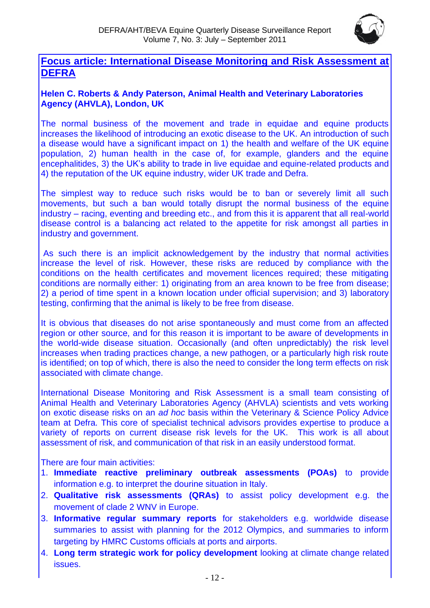

### **Focus article: International Disease Monitoring and Risk Assessment at DEFRA**

### **Helen C. Roberts & Andy Paterson, Animal Health and Veterinary Laboratories Agency (AHVLA), London, UK**

The normal business of the movement and trade in equidae and equine products increases the likelihood of introducing an exotic disease to the UK. An introduction of such a disease would have a significant impact on 1) the health and welfare of the UK equine population, 2) human health in the case of, for example, glanders and the equine encephalitides, 3) the UK's ability to trade in live equidae and equine-related products and 4) the reputation of the UK equine industry, wider UK trade and Defra.

The simplest way to reduce such risks would be to ban or severely limit all such movements, but such a ban would totally disrupt the normal business of the equine industry – racing, eventing and breeding etc., and from this it is apparent that all real-world disease control is a balancing act related to the appetite for risk amongst all parties in industry and government.

As such there is an implicit acknowledgement by the industry that normal activities increase the level of risk. However, these risks are reduced by compliance with the conditions on the health certificates and movement licences required; these mitigating conditions are normally either: 1) originating from an area known to be free from disease; 2) a period of time spent in a known location under official supervision; and 3) laboratory testing, confirming that the animal is likely to be free from disease.

It is obvious that diseases do not arise spontaneously and must come from an affected region or other source, and for this reason it is important to be aware of developments in the world-wide disease situation. Occasionally (and often unpredictably) the risk level increases when trading practices change, a new pathogen, or a particularly high risk route is identified; on top of which, there is also the need to consider the long term effects on risk associated with climate change.

International Disease Monitoring and Risk Assessment is a small team consisting of Animal Health and Veterinary Laboratories Agency (AHVLA) scientists and vets working on exotic disease risks on an *ad hoc* basis within the Veterinary & Science Policy Advice team at Defra. This core of specialist technical advisors provides expertise to produce a variety of reports on current disease risk levels for the UK. This work is all about assessment of risk, and communication of that risk in an easily understood format.

There are four main activities:

- 1. **Immediate reactive preliminary outbreak assessments (POAs)** to provide information e.g. to interpret the dourine situation in Italy.
- 2. **Qualitative risk assessments (QRAs)** to assist policy development e.g. the movement of clade 2 WNV in Europe.
- 3. **Informative regular summary reports** for stakeholders e.g. worldwide disease summaries to assist with planning for the 2012 Olympics, and summaries to inform targeting by HMRC Customs officials at ports and airports.
- 4. **Long term strategic work for policy development** looking at climate change related issues.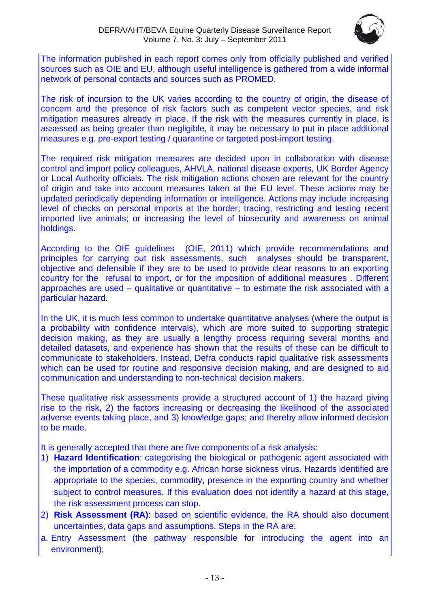

The information published in each report comes only from officially published and verified sources such as OIE and EU, although useful intelligence is gathered from a wide informal network of personal contacts and sources such as PROMED.

The risk of incursion to the UK varies according to the country of origin, the disease of concern and the presence of risk factors such as competent vector species, and risk mitigation measures already in place. If the risk with the measures currently in place, is assessed as being greater than negligible, it may be necessary to put in place additional measures e.g. pre-export testing / quarantine or targeted post-import testing.

The required risk mitigation measures are decided upon in collaboration with disease control and import policy colleagues, AHVLA, national disease experts, UK Border Agency or Local Authority officials. The risk mitigation actions chosen are relevant for the country of origin and take into account measures taken at the EU level. These actions may be updated periodically depending information or intelligence. Actions may include increasing level of checks on personal imports at the border; tracing, restricting and testing recent imported live animals; or increasing the level of biosecurity and awareness on animal holdings.

According to the OIE guidelines (OIE, 2011) which provide recommendations and principles for carrying out risk assessments, such analyses should be transparent, objective and defensible if they are to be used to provide clear reasons to an exporting country for the refusal to import, or for the imposition of additional measures . Different approaches are used – qualitative or quantitative – to estimate the risk associated with a particular hazard.

In the UK, it is much less common to undertake quantitative analyses (where the output is a probability with confidence intervals), which are more suited to supporting strategic decision making, as they are usually a lengthy process requiring several months and detailed datasets, and experience has shown that the results of these can be difficult to communicate to stakeholders. Instead, Defra conducts rapid qualitative risk assessments which can be used for routine and responsive decision making, and are designed to aid communication and understanding to non-technical decision makers.

These qualitative risk assessments provide a structured account of 1) the hazard giving rise to the risk, 2) the factors increasing or decreasing the likelihood of the associated adverse events taking place, and 3) knowledge gaps; and thereby allow informed decision to be made.

It is generally accepted that there are five components of a risk analysis:

- 1) **Hazard Identification**: categorising the biological or pathogenic agent associated with the importation of a commodity e.g. African horse sickness virus. Hazards identified are appropriate to the species, commodity, presence in the exporting country and whether subject to control measures. If this evaluation does not identify a hazard at this stage, the risk assessment process can stop.
- 2) **Risk Assessment (RA)**: based on scientific evidence, the RA should also document uncertainties, data gaps and assumptions. Steps in the RA are:
- a. Entry Assessment (the pathway responsible for introducing the agent into an environment);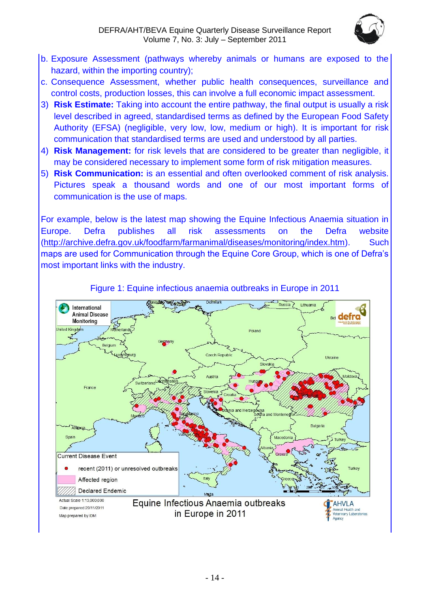

- b. Exposure Assessment (pathways whereby animals or humans are exposed to the hazard, within the importing country);
- c. Consequence Assessment, whether public health consequences, surveillance and control costs, production losses, this can involve a full economic impact assessment.
- 3) **Risk Estimate:** Taking into account the entire pathway, the final output is usually a risk level described in agreed, standardised terms as defined by the European Food Safety Authority (EFSA) (negligible, very low, low, medium or high). It is important for risk communication that standardised terms are used and understood by all parties.
- 4) **Risk Management:** for risk levels that are considered to be greater than negligible, it may be considered necessary to implement some form of risk mitigation measures.
- 5) **Risk Communication:** is an essential and often overlooked comment of risk analysis. Pictures speak a thousand words and one of our most important forms of communication is the use of maps.

For example, below is the latest map showing the Equine Infectious Anaemia situation in Europe. Defra publishes all risk assessments on the Defra website [\(http://archive.defra.gov.uk/foodfarm/farmanimal/diseases/monitoring/index.htm\)](http://archive.defra.gov.uk/foodfarm/farmanimal/diseases/monitoring/index.htm). Such maps are used for Communication through the Equine Core Group, which is one of Defra's most important links with the industry.



### Figure 1: Equine infectious anaemia outbreaks in Europe in 2011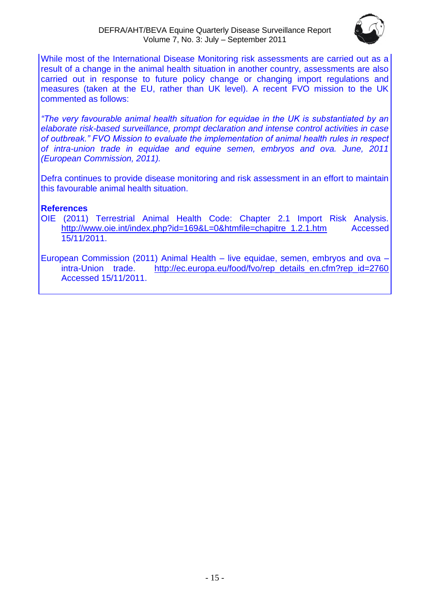

While most of the International Disease Monitoring risk assessments are carried out as a result of a change in the animal health situation in another country, assessments are also carried out in response to future policy change or changing import regulations and measures (taken at the EU, rather than UK level). A recent FVO mission to the UK commented as follows:

*"The very favourable animal health situation for equidae in the UK is substantiated by an elaborate risk-based surveillance, prompt declaration and intense control activities in case of outbreak." FVO Mission to evaluate the implementation of animal health rules in respect of intra-union trade in equidae and equine semen, embryos and ova. June, 2011 (European Commission, 2011).*

Defra continues to provide disease monitoring and risk assessment in an effort to maintain this favourable animal health situation.

### **References**

OIE (2011) Terrestrial Animal Health Code: Chapter 2.1 Import Risk Analysis. [http://www.oie.int/index.php?id=169&L=0&htmfile=chapitre\\_1.2.1.htm](http://www.oie.int/index.php?id=169&L=0&htmfile=chapitre_1.2.1.htm) Accessed 15/11/2011.

European Commission (2011) Animal Health – live equidae, semen, embryos and ova – intra-Union trade. [http://ec.europa.eu/food/fvo/rep\\_details\\_en.cfm?rep\\_id=2760](http://ec.europa.eu/food/fvo/rep_details_en.cfm?rep_id=2760) Accessed 15/11/2011.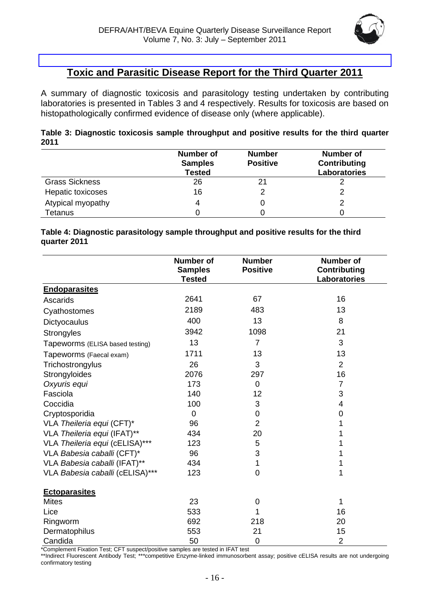

# **Toxic and Parasitic Disease Report for the Third Quarter 2011**

<span id="page-15-0"></span>A summary of diagnostic toxicosis and parasitology testing undertaken by contributing laboratories is presented in Tables 3 and 4 respectively. Results for toxicosis are based on histopathologically confirmed evidence of disease only (where applicable).

| Table 3: Diagnostic toxicosis sample throughput and positive results for the third quarter |  |  |  |
|--------------------------------------------------------------------------------------------|--|--|--|
| 2011                                                                                       |  |  |  |

|                       | <b>Number of</b><br><b>Samples</b><br><b>Tested</b> | <b>Number</b><br><b>Positive</b> | <b>Number of</b><br>Contributing<br><b>Laboratories</b> |
|-----------------------|-----------------------------------------------------|----------------------------------|---------------------------------------------------------|
| <b>Grass Sickness</b> | 26                                                  | 21                               |                                                         |
| Hepatic toxicoses     | 16                                                  |                                  |                                                         |
| Atypical myopathy     |                                                     |                                  |                                                         |
| Tetanus               |                                                     |                                  |                                                         |

#### **Table 4: Diagnostic parasitology sample throughput and positive results for the third quarter 2011**

|                                 | <b>Number of</b><br><b>Samples</b><br><b>Tested</b> | <b>Number</b><br><b>Positive</b> | <b>Number of</b><br><b>Contributing</b><br><b>Laboratories</b> |
|---------------------------------|-----------------------------------------------------|----------------------------------|----------------------------------------------------------------|
| <b>Endoparasites</b>            |                                                     |                                  |                                                                |
| Ascarids                        | 2641                                                | 67                               | 16                                                             |
| Cyathostomes                    | 2189                                                | 483                              | 13                                                             |
| Dictyocaulus                    | 400                                                 | 13                               | 8                                                              |
| Strongyles                      | 3942                                                | 1098                             | 21                                                             |
| Tapeworms (ELISA based testing) | 13                                                  | $\overline{7}$                   | 3                                                              |
| Tapeworms (Faecal exam)         | 1711                                                | 13                               | 13                                                             |
| Trichostrongylus                | 26                                                  | 3                                | $\overline{2}$                                                 |
| Strongyloides                   | 2076                                                | 297                              | 16                                                             |
| Oxyuris equi                    | 173                                                 | $\mathbf 0$                      | $\overline{7}$                                                 |
| Fasciola                        | 140                                                 | 12                               | 3                                                              |
| Coccidia                        | 100                                                 | 3                                | 4                                                              |
| Cryptosporidia                  | 0                                                   | 0                                | 0                                                              |
| VLA Theileria equi (CFT)*       | 96                                                  | $\overline{2}$                   | 1                                                              |
| VLA Theileria equi (IFAT)**     | 434                                                 | 20                               | 1                                                              |
| VLA Theileria equi (cELISA)***  | 123                                                 | 5                                | 1                                                              |
| VLA Babesia caballi (CFT)*      | 96                                                  | 3                                | 1                                                              |
| VLA Babesia caballi (IFAT)**    | 434                                                 | 1                                | 1                                                              |
| VLA Babesia caballi (cELISA)*** | 123                                                 | $\mathbf 0$                      | 1                                                              |
| <b>Ectoparasites</b>            |                                                     |                                  |                                                                |
| <b>Mites</b>                    | 23                                                  | 0                                | 1                                                              |
| Lice                            | 533                                                 | 1                                | 16                                                             |
| Ringworm                        | 692                                                 | 218                              | 20                                                             |
| Dermatophilus                   | 553                                                 | 21                               | 15                                                             |
| Candida                         | 50                                                  | 0                                | $\overline{2}$                                                 |

\*Complement Fixation Test; CFT suspect/positive samples are tested in IFAT test

\*\*Indirect Fluorescent Antibody Test; \*\*\*competitive Enzyme-linked immunosorbent assay; positive cELISA results are not undergoing confirmatory testing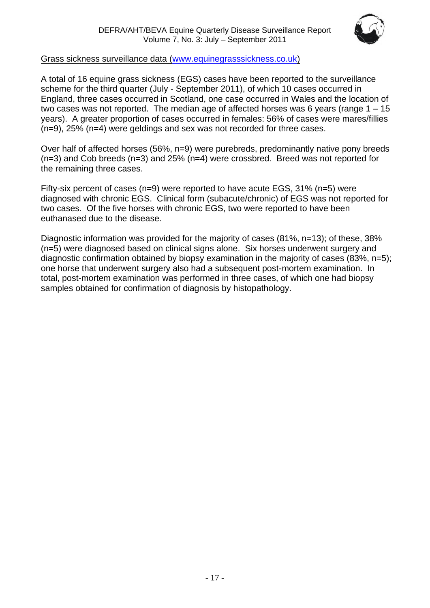

### Grass sickness surveillance data [\(www.equinegrasssickness.co.uk\)](http://www.equinegrasssickness.co.uk/)

A total of 16 equine grass sickness (EGS) cases have been reported to the surveillance scheme for the third quarter (July - September 2011), of which 10 cases occurred in England, three cases occurred in Scotland, one case occurred in Wales and the location of two cases was not reported. The median age of affected horses was 6 years (range 1 – 15 years). A greater proportion of cases occurred in females: 56% of cases were mares/fillies (n=9), 25% (n=4) were geldings and sex was not recorded for three cases.

Over half of affected horses (56%, n=9) were purebreds, predominantly native pony breeds (n=3) and Cob breeds (n=3) and 25% (n=4) were crossbred. Breed was not reported for the remaining three cases.

Fifty-six percent of cases (n=9) were reported to have acute EGS, 31% (n=5) were diagnosed with chronic EGS. Clinical form (subacute/chronic) of EGS was not reported for two cases. Of the five horses with chronic EGS, two were reported to have been euthanased due to the disease.

Diagnostic information was provided for the majority of cases (81%, n=13); of these, 38% (n=5) were diagnosed based on clinical signs alone. Six horses underwent surgery and diagnostic confirmation obtained by biopsy examination in the majority of cases (83%, n=5); one horse that underwent surgery also had a subsequent post-mortem examination. In total, post-mortem examination was performed in three cases, of which one had biopsy samples obtained for confirmation of diagnosis by histopathology.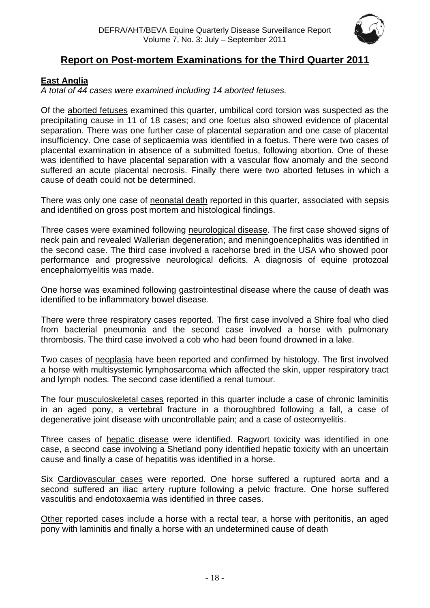

# **Report on Post-mortem Examinations for the Third Quarter 2011**

### <span id="page-17-1"></span><span id="page-17-0"></span>**East Anglia**

*A total of 44 cases were examined including 14 aborted fetuses.*

Of the aborted fetuses examined this quarter, umbilical cord torsion was suspected as the precipitating cause in 11 of 18 cases; and one foetus also showed evidence of placental separation. There was one further case of placental separation and one case of placental insufficiency. One case of septicaemia was identified in a foetus. There were two cases of placental examination in absence of a submitted foetus, following abortion. One of these was identified to have placental separation with a vascular flow anomaly and the second suffered an acute placental necrosis. Finally there were two aborted fetuses in which a cause of death could not be determined.

There was only one case of neonatal death reported in this quarter, associated with sepsis and identified on gross post mortem and histological findings.

Three cases were examined following neurological disease. The first case showed signs of neck pain and revealed Wallerian degeneration; and meningoencephalitis was identified in the second case. The third case involved a racehorse bred in the USA who showed poor performance and progressive neurological deficits. A diagnosis of equine protozoal encephalomyelitis was made.

One horse was examined following gastrointestinal disease where the cause of death was identified to be inflammatory bowel disease.

There were three respiratory cases reported. The first case involved a Shire foal who died from bacterial pneumonia and the second case involved a horse with pulmonary thrombosis. The third case involved a cob who had been found drowned in a lake.

Two cases of neoplasia have been reported and confirmed by histology. The first involved a horse with multisystemic lymphosarcoma which affected the skin, upper respiratory tract and lymph nodes. The second case identified a renal tumour.

The four musculoskeletal cases reported in this quarter include a case of chronic laminitis in an aged pony, a vertebral fracture in a thoroughbred following a fall, a case of degenerative joint disease with uncontrollable pain; and a case of osteomyelitis.

Three cases of hepatic disease were identified. Ragwort toxicity was identified in one case, a second case involving a Shetland pony identified hepatic toxicity with an uncertain cause and finally a case of hepatitis was identified in a horse.

Six Cardiovascular cases were reported. One horse suffered a ruptured aorta and a second suffered an iliac artery rupture following a pelvic fracture. One horse suffered vasculitis and endotoxaemia was identified in three cases.

Other reported cases include a horse with a rectal tear, a horse with peritonitis, an aged pony with laminitis and finally a horse with an undetermined cause of death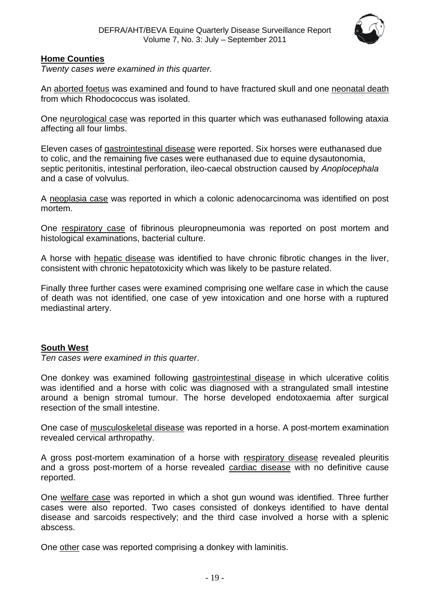

### <span id="page-18-0"></span>**Home Counties**

*Twenty cases were examined in this quarter.*

An aborted foetus was examined and found to have fractured skull and one neonatal death from which Rhodococcus was isolated.

One neurological case was reported in this quarter which was euthanased following ataxia affecting all four limbs.

Eleven cases of gastrointestinal disease were reported. Six horses were euthanased due to colic, and the remaining five cases were euthanased due to equine dysautonomia, septic peritonitis, intestinal perforation, ileo-caecal obstruction caused by *Anoplocephala* and a case of volvulus.

A neoplasia case was reported in which a colonic adenocarcinoma was identified on post mortem.

One respiratory case of fibrinous pleuropneumonia was reported on post mortem and histological examinations, bacterial culture.

A horse with hepatic disease was identified to have chronic fibrotic changes in the liver, consistent with chronic hepatotoxicity which was likely to be pasture related.

Finally three further cases were examined comprising one welfare case in which the cause of death was not identified, one case of yew intoxication and one horse with a ruptured mediastinal artery.

#### <span id="page-18-1"></span>**South West**

*Ten cases were examined in this quarter*.

One donkey was examined following gastrointestinal disease in which ulcerative colitis was identified and a horse with colic was diagnosed with a strangulated small intestine around a benign stromal tumour. The horse developed endotoxaemia after surgical resection of the small intestine.

One case of musculoskeletal disease was reported in a horse. A post-mortem examination revealed cervical arthropathy.

A gross post-mortem examination of a horse with respiratory disease revealed pleuritis and a gross post-mortem of a horse revealed cardiac disease with no definitive cause reported.

One welfare case was reported in which a shot gun wound was identified. Three further cases were also reported. Two cases consisted of donkeys identified to have dental disease and sarcoids respectively; and the third case involved a horse with a splenic abscess.

One other case was reported comprising a donkey with laminitis.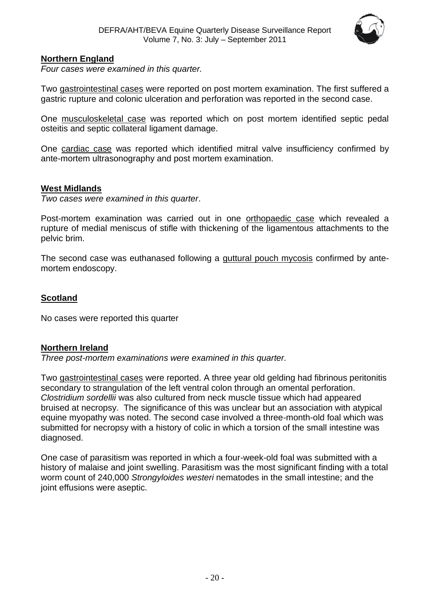

### <span id="page-19-0"></span>**Northern England**

*Four cases were examined in this quarter.*

Two gastrointestinal cases were reported on post mortem examination. The first suffered a gastric rupture and colonic ulceration and perforation was reported in the second case.

One musculoskeletal case was reported which on post mortem identified septic pedal osteitis and septic collateral ligament damage.

One cardiac case was reported which identified mitral valve insufficiency confirmed by ante-mortem ultrasonography and post mortem examination.

### <span id="page-19-1"></span>**West Midlands**

*Two cases were examined in this quarter*.

Post-mortem examination was carried out in one orthopaedic case which revealed a rupture of medial meniscus of stifle with thickening of the ligamentous attachments to the pelvic brim.

The second case was euthanased following a guttural pouch mycosis confirmed by antemortem endoscopy.

### <span id="page-19-2"></span>**Scotland**

No cases were reported this quarter

#### <span id="page-19-3"></span>**Northern Ireland**

*Three post-mortem examinations were examined in this quarter.*

Two gastrointestinal cases were reported. A three year old gelding had fibrinous peritonitis secondary to strangulation of the left ventral colon through an omental perforation. *Clostridium sordellii* was also cultured from neck muscle tissue which had appeared bruised at necropsy. The significance of this was unclear but an association with atypical equine myopathy was noted. The second case involved a three-month-old foal which was submitted for necropsy with a history of colic in which a torsion of the small intestine was diagnosed.

One case of parasitism was reported in which a four-week-old foal was submitted with a history of malaise and joint swelling. Parasitism was the most significant finding with a total worm count of 240,000 *Strongyloides westeri* nematodes in the small intestine; and the joint effusions were aseptic.